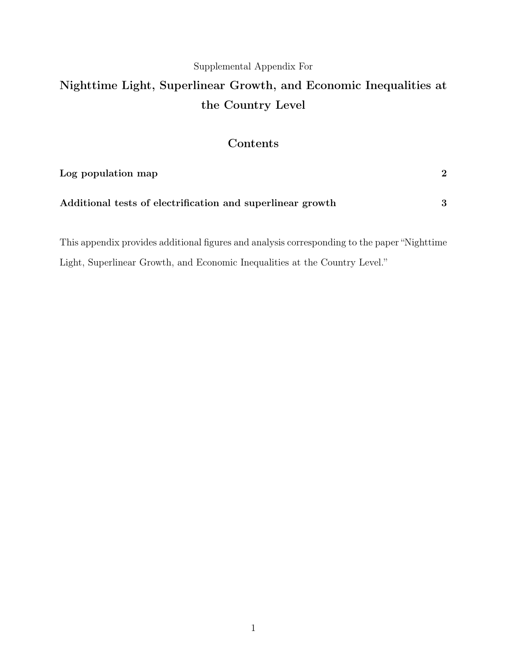### Supplemental Appendix For

# Nighttime Light, Superlinear Growth, and Economic Inequalities at the Country Level

## Contents

| Log population map                                         |  |
|------------------------------------------------------------|--|
| Additional tests of electrification and superlinear growth |  |

This appendix provides additional figures and analysis corresponding to the paper "Nighttime Light, Superlinear Growth, and Economic Inequalities at the Country Level."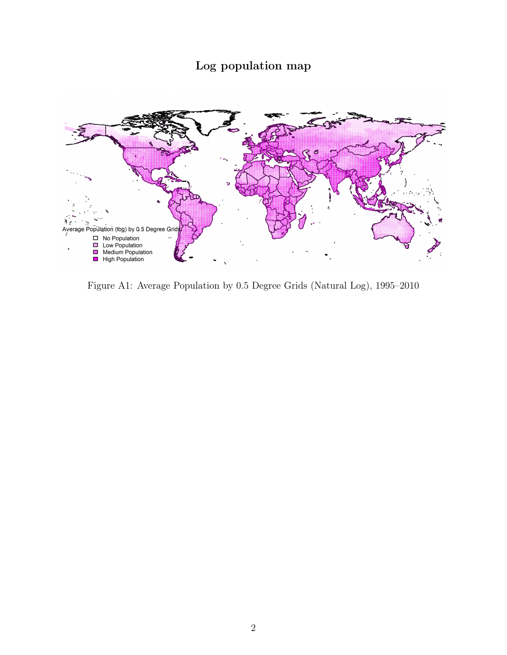## Log population map



Figure A1: Average Population by 0.5 Degree Grids (Natural Log), 1995–2010